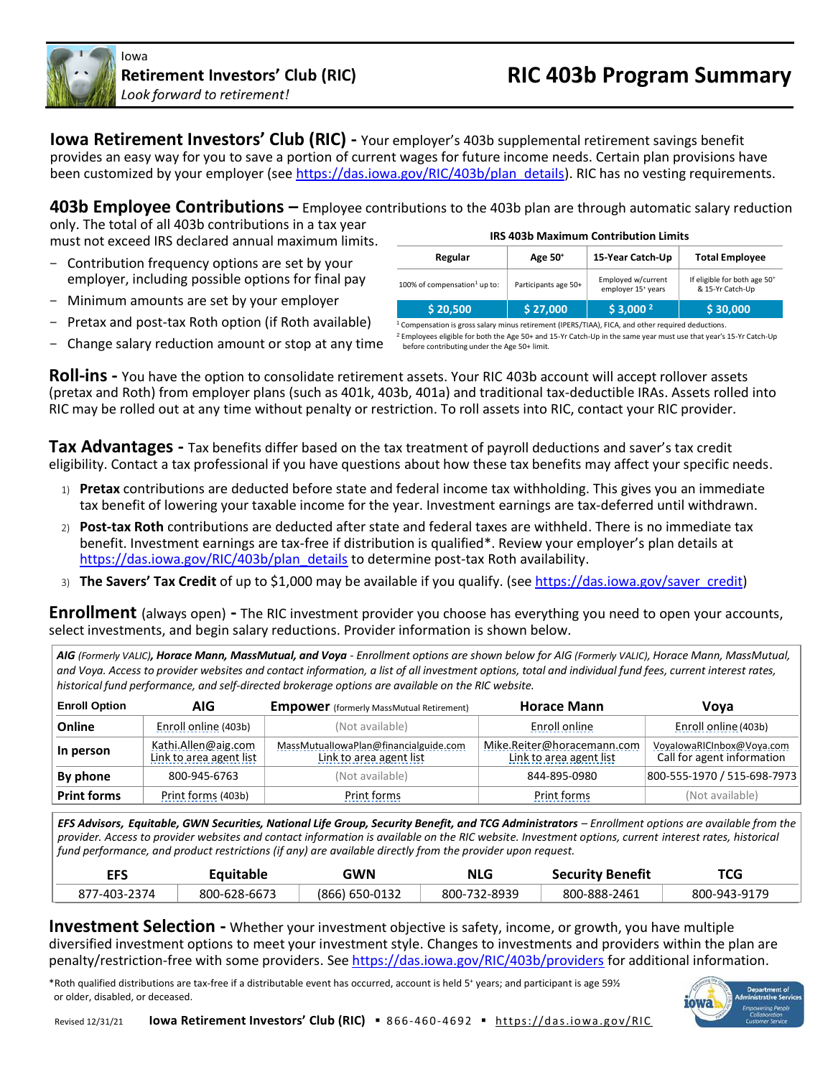

lowa

**Iowa Retirement Investors' Club (RIC) -** Your employer's 403b supplemental retirement savings benefit provides an easy way for you to save a portion of current wages for future income needs. Certain plan provisions have been customized by your employer (se[e https://das.iowa.gov/RIC/403b/plan\\_details\)](https://das.iowa.gov/RIC/403b/plan_details). RIC has no vesting requirements.

**403b Employee Contributions –** Employee contributions to the 403b plan are through automatic salary reduction only. The total of all 403b contributions in a tax year

must not exceed IRS declared annual maximum limits.

- Contribution frequency options are set by your employer, including possible options for final pay
- Minimum amounts are set by your employer
- Pretax and post-tax Roth option (if Roth available)
- Change salary reduction amount or stop at any time

| <b>IRS 403b Maximum Contribution Limits</b> |                      |                                                      |                                                              |
|---------------------------------------------|----------------------|------------------------------------------------------|--------------------------------------------------------------|
| Regular                                     | Age 50 <sup>+</sup>  | 15-Year Catch-Up                                     | <b>Total Employee</b>                                        |
| 100% of compensation <sup>1</sup> up to:    | Participants age 50+ | Employed w/current<br>employer 15 <sup>+</sup> years | If eligible for both age 50 <sup>+</sup><br>& 15-Yr Catch-Up |
| \$20,500                                    | \$27,000             | \$3,000 <sup>2</sup>                                 | \$30,000                                                     |

<sup>1</sup> Compensation is gross salary minus retirement (IPERS/TIAA), FICA, and other required deductions. <sup>2</sup> Employees eligible for both the Age 50+ and 15-Yr Catch-Up in the same year must use that year's 15-Yr Catch-Up

before contributing under the Age 50+ limit.

**Roll-ins -** You have the option to consolidate retirement assets. Your RIC 403b account will accept rollover assets (pretax and Roth) from employer plans (such as 401k, 403b, 401a) and traditional tax-deductible IRAs. Assets rolled into RIC may be rolled out at any time without penalty or restriction. To roll assets into RIC, contact your RIC provider.

**Tax Advantages -** Tax benefits differ based on the tax treatment of payroll deductions and saver's tax credit eligibility. Contact a tax professional if you have questions about how these tax benefits may affect your specific needs.

- 1) **Pretax** contributions are deducted before state and federal income tax withholding. This gives you an immediate tax benefit of lowering your taxable income for the year. Investment earnings are tax-deferred until withdrawn.
- 2) **Post-tax Roth** contributions are deducted after state and federal taxes are withheld. There is no immediate tax benefit. Investment earnings are tax-free if distribution is qualified\*. Review your employer's plan details at [https://das.iowa.gov/RIC/403b/plan\\_details](https://das.iowa.gov/RIC/403b/plan_details) to determine post-tax Roth availability.
- 3) **The Savers' Tax Credit** of up to \$1,000 may be available if you qualify. (se[e https://das.iowa.gov/saver\\_credit\)](https://das.iowa.gov/saver_credit)

**Enrollment** (always open) **-** The RIC investment provider you choose has everything you need to open your accounts, select investments, and begin salary reductions. Provider information is shown below.

*AIG (Formerly VALIC), Horace Mann, MassMutual, and Voya - Enrollment options are shown below for AIG (Formerly VALIC), Horace Mann, MassMutual, and Voya. Access to provider websites and contact information, a list of all investment options, total and individual fund fees, current interest rates, historical fund performance, and self-directed brokerage options are available on the RIC website.*

| <b>Enroll Option</b> | AIG                                            | <b>Empower</b> (formerly MassMutual Retirement)                  | <b>Horace Mann</b>                                    | Vova                                                    |
|----------------------|------------------------------------------------|------------------------------------------------------------------|-------------------------------------------------------|---------------------------------------------------------|
| Online               | Enroll online (403b)                           | (Not available)                                                  | Enroll online                                         | Enroll online (403b)                                    |
| In person            | Kathi.Allen@aig.com<br>Link to area agent list | MassMutuallowaPlan@financialguide.com<br>Link to area agent list | Mike.Reiter@horacemann.com<br>Link to area agent list | VoyalowaRICInbox@Voya.com<br>Call for agent information |
| By phone             | 800-945-6763                                   | (Not available)                                                  | 844-895-0980                                          | 800-555-1970 / 515-698-7973                             |
| <b>Print forms</b>   | Print forms (403b)                             | <b>Print forms</b>                                               | Print forms                                           | (Not available)                                         |

*EFS Advisors, Equitable, GWN Securities, National Life Group, Security Benefit, and TCG Administrators – Enrollment options are available from the provider. Access to provider websites and contact information is available on the RIC website. Investment options, current interest rates, historical fund performance, and product restrictions (if any) are available directly from the provider upon request.*

| EFS          | Eauitable    | GWN            | <b>NLG</b>   | <b>Security Benefit</b> | <b>TCG</b>   |
|--------------|--------------|----------------|--------------|-------------------------|--------------|
| 877-403-2374 | 800-628-6673 | (866) 650-0132 | 800-732-8939 | 800-888-2461            | 800-943-9179 |

**Investment Selection -** Whether your investment objective is safety, income, or growth, you have multiple diversified investment options to meet your investment style. Changes to investments and providers within the plan are penalty/restriction-free with some providers. See<https://das.iowa.gov/RIC/403b/providers> for additional information.

\*Roth qualified distributions are tax-free if a distributable event has occurred, account is held 5<sup>+</sup> years; and participant is age 59½ or older, disabled, or deceased.